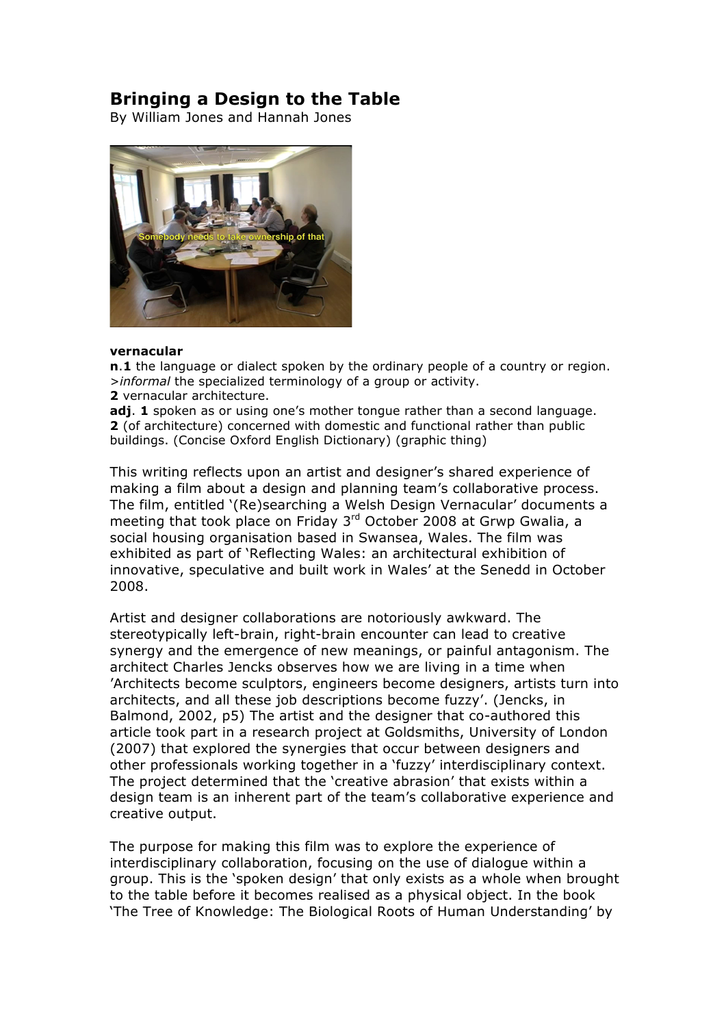## **Bringing a Design to the Table**

By William Jones and Hannah Jones



## **vernacular**

**n**.**1** the language or dialect spoken by the ordinary people of a country or region. >*informal* the specialized terminology of a group or activity.

**2** vernacular architecture.

**adj. 1** spoken as or using one's mother tongue rather than a second language. **2** (of architecture) concerned with domestic and functional rather than public buildings. (Concise Oxford English Dictionary) (graphic thing)

This writing reflects upon an artist and designer's shared experience of making a film about a design and planning team's collaborative process. The film, entitled '(Re)searching a Welsh Design Vernacular' documents a meeting that took place on Friday 3<sup>rd</sup> October 2008 at Grwp Gwalia, a social housing organisation based in Swansea, Wales. The film was exhibited as part of 'Reflecting Wales: an architectural exhibition of innovative, speculative and built work in Wales' at the Senedd in October 2008.

Artist and designer collaborations are notoriously awkward. The stereotypically left-brain, right-brain encounter can lead to creative synergy and the emergence of new meanings, or painful antagonism. The architect Charles Jencks observes how we are living in a time when 'Architects become sculptors, engineers become designers, artists turn into architects, and all these job descriptions become fuzzy'. (Jencks, in Balmond, 2002, p5) The artist and the designer that co-authored this article took part in a research project at Goldsmiths, University of London (2007) that explored the synergies that occur between designers and other professionals working together in a 'fuzzy' interdisciplinary context. The project determined that the 'creative abrasion' that exists within a design team is an inherent part of the team's collaborative experience and creative output.

The purpose for making this film was to explore the experience of interdisciplinary collaboration, focusing on the use of dialogue within a group. This is the 'spoken design' that only exists as a whole when brought to the table before it becomes realised as a physical object. In the book 'The Tree of Knowledge: The Biological Roots of Human Understanding' by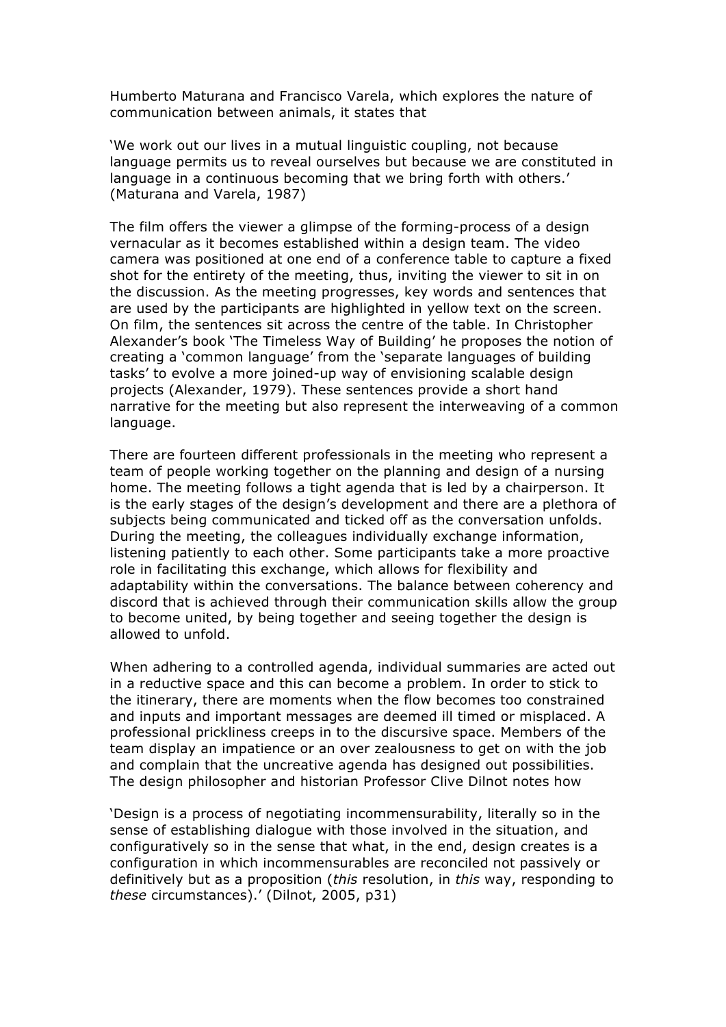Humberto Maturana and Francisco Varela, which explores the nature of communication between animals, it states that

'We work out our lives in a mutual linguistic coupling, not because language permits us to reveal ourselves but because we are constituted in language in a continuous becoming that we bring forth with others.' (Maturana and Varela, 1987)

The film offers the viewer a glimpse of the forming-process of a design vernacular as it becomes established within a design team. The video camera was positioned at one end of a conference table to capture a fixed shot for the entirety of the meeting, thus, inviting the viewer to sit in on the discussion. As the meeting progresses, key words and sentences that are used by the participants are highlighted in yellow text on the screen. On film, the sentences sit across the centre of the table. In Christopher Alexander's book 'The Timeless Way of Building' he proposes the notion of creating a 'common language' from the 'separate languages of building tasks' to evolve a more joined-up way of envisioning scalable design projects (Alexander, 1979). These sentences provide a short hand narrative for the meeting but also represent the interweaving of a common language.

There are fourteen different professionals in the meeting who represent a team of people working together on the planning and design of a nursing home. The meeting follows a tight agenda that is led by a chairperson. It is the early stages of the design's development and there are a plethora of subjects being communicated and ticked off as the conversation unfolds. During the meeting, the colleagues individually exchange information, listening patiently to each other. Some participants take a more proactive role in facilitating this exchange, which allows for flexibility and adaptability within the conversations. The balance between coherency and discord that is achieved through their communication skills allow the group to become united, by being together and seeing together the design is allowed to unfold.

When adhering to a controlled agenda, individual summaries are acted out in a reductive space and this can become a problem. In order to stick to the itinerary, there are moments when the flow becomes too constrained and inputs and important messages are deemed ill timed or misplaced. A professional prickliness creeps in to the discursive space. Members of the team display an impatience or an over zealousness to get on with the job and complain that the uncreative agenda has designed out possibilities. The design philosopher and historian Professor Clive Dilnot notes how

'Design is a process of negotiating incommensurability, literally so in the sense of establishing dialogue with those involved in the situation, and configuratively so in the sense that what, in the end, design creates is a configuration in which incommensurables are reconciled not passively or definitively but as a proposition (*this* resolution, in *this* way, responding to *these* circumstances).' (Dilnot, 2005, p31)